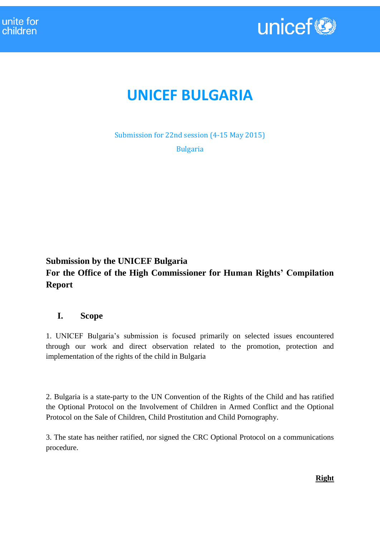

# **UNICEF BULGARIA**

Submission for 22nd session (4-15 May 2015) Bulgaria

# **Submission by the UNICEF Bulgaria For the Office of the High Commissioner for Human Rights' Compilation Report**

# **I. Scope**

1. UNICEF Bulgaria's submission is focused primarily on selected issues encountered through our work and direct observation related to the promotion, protection and implementation of the rights of the child in Bulgaria

2. Bulgaria is a state-party to the UN Convention of the Rights of the Child and has ratified the Optional Protocol on the Involvement of Children in Armed Conflict and the Optional Protocol on the Sale of Children, Child Prostitution and Child Pornography.

3. The state has neither ratified, nor signed the CRC Optional Protocol on a communications procedure.

**Right**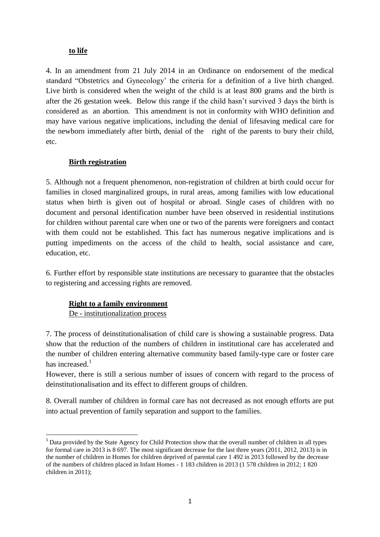#### **to life**

4. In an amendment from 21 July 2014 in an Ordinance on endorsement of the medical standard "Obstetrics and Gynecology' the criteria for a definition of a live birth changed. Live birth is considered when the weight of the child is at least 800 grams and the birth is after the 26 gestation week. Below this range if the child hasn't survived 3 days the birth is considered as an abortion. This amendment is not in conformity with WHO definition and may have various negative implications, including the denial of lifesaving medical care for the newborn immediately after birth, denial of the right of the parents to bury their child, etc.

#### **Birth registration**

5. Although not a frequent phenomenon, non-registration of children at birth could occur for families in closed marginalized groups, in rural areas, among families with low educational status when birth is given out of hospital or abroad. Single cases of children with no document and personal identification number have been observed in residential institutions for children without parental care when one or two of the parents were foreigners and contact with them could not be established. This fact has numerous negative implications and is putting impediments on the access of the child to health, social assistance and care, education, etc.

6. Further effort by responsible state institutions are necessary to guarantee that the obstacles to registering and accessing rights are removed.

## **Right to a family environment**

De - institutionalization process

7. The process of deinstitutionalisation of child care is showing a sustainable progress. Data show that the reduction of the numbers of children in institutional care has accelerated and the number of children entering alternative community based family-type care or foster care has increased. $1$ 

However, there is still a serious number of issues of concern with regard to the process of deinstitutionalisation and its effect to different groups of children.

8. Overall number of children in formal care has not decreased as not enough efforts are put into actual prevention of family separation and support to the families.

**<sup>.</sup>** <sup>1</sup> Data provided by the State Agency for Child Protection show that the overall number of children in all types for formal care in 2013 is 8 697. The most significant decrease for the last three years (2011, 2012, 2013) is in the number of children in Homes for children deprived of parental care 1 492 in 2013 followed by the decrease of the numbers of children placed in Infant Homes - 1 183 children in 2013 (1 578 children in 2012; 1 820 children in 2011);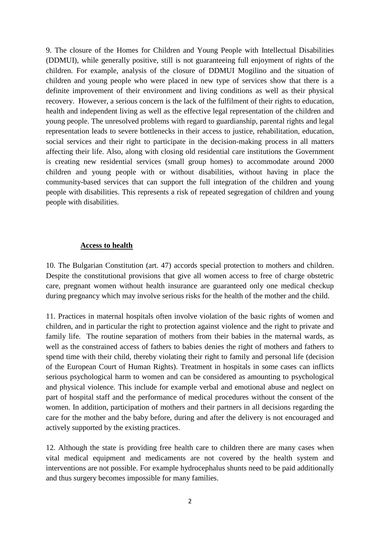9. The closure of the Homes for Children and Young People with Intellectual Disabilities (DDMUI), while generally positive, still is not guaranteeing full enjoyment of rights of the children. For example, analysis of the closure of DDMUI Mogilino and the situation of children and young people who were placed in new type of services show that there is a definite improvement of their environment and living conditions as well as their physical recovery. However, a serious concern is the lack of the fulfilment of their rights to education, health and independent living as well as the effective legal representation of the children and young people. The unresolved problems with regard to guardianship, parental rights and legal representation leads to severe bottlenecks in their access to justice, rehabilitation, education, social services and their right to participate in the decision-making process in all matters affecting their life. Also, along with closing old residential care institutions the Government is creating new residential services (small group homes) to accommodate around 2000 children and young people with or without disabilities, without having in place the community-based services that can support the full integration of the children and young people with disabilities. This represents a risk of repeated segregation of children and young people with disabilities.

#### **Access to health**

10. The Bulgarian Constitution (art. 47) accords special protection to mothers and children. Despite the constitutional provisions that give all women access to free of charge obstetric care, pregnant women without health insurance are guaranteed only one medical checkup during pregnancy which may involve serious risks for the health of the mother and the child.

11. Practices in maternal hospitals often involve violation of the basic rights of women and children, and in particular the right to protection against violence and the right to private and family life. The routine separation of mothers from their babies in the maternal wards, as well as the constrained access of fathers to babies denies the right of mothers and fathers to spend time with their child, thereby violating their right to family and personal life (decision of the European Court of Human Rights). Treatment in hospitals in some cases can inflicts serious psychological harm to women and can be considered as amounting to psychological and physical violence. This include for example verbal and emotional abuse and neglect on part of hospital staff and the performance of medical procedures without the consent of the women. In addition, participation of mothers and their partners in all decisions regarding the care for the mother and the baby before, during and after the delivery is not encouraged and actively supported by the existing practices.

12. Although the state is providing free health care to children there are many cases when vital medical equipment and medicaments are not covered by the health system and interventions are not possible. For example hydrocephalus shunts need to be paid additionally and thus surgery becomes impossible for many families.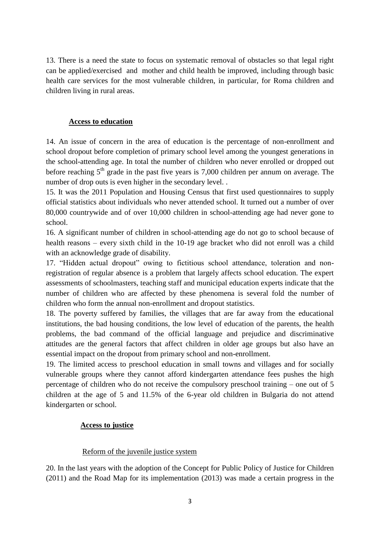13. There is a need the state to focus on systematic removal of obstacles so that legal right can be applied/exercised and mother and child health be improved, including through basic health care services for the most vulnerable children, in particular, for Roma children and children living in rural areas.

#### **Access to education**

14. An issue of concern in the area of education is the percentage of non-enrollment and school dropout before completion of primary school level among the youngest generations in the school-attending age. In total the number of children who never enrolled or dropped out before reaching  $5<sup>th</sup>$  grade in the past five years is 7,000 children per annum on average. The number of drop outs is even higher in the secondary level. .

15. It was the 2011 Population and Housing Census that first used questionnaires to supply official statistics about individuals who never attended school. It turned out a number of over 80,000 countrywide and of over 10,000 children in school-attending age had never gone to school.

16. A significant number of children in school-attending age do not go to school because of health reasons – every sixth child in the 10-19 age bracket who did not enroll was a child with an acknowledge grade of disability.

17. "Hidden actual dropout" owing to fictitious school attendance, toleration and nonregistration of regular absence is a problem that largely affects school education. The expert assessments of schoolmasters, teaching staff and municipal education experts indicate that the number of children who are affected by these phenomena is several fold the number of children who form the annual non-enrollment and dropout statistics.

18. The poverty suffered by families, the villages that are far away from the educational institutions, the bad housing conditions, the low level of education of the parents, the health problems, the bad command of the official language and prejudice and discriminative attitudes are the general factors that affect children in older age groups but also have an essential impact on the dropout from primary school and non-enrollment.

19. The limited access to preschool education in small towns and villages and for socially vulnerable groups where they cannot afford kindergarten attendance fees pushes the high percentage of children who do not receive the compulsory preschool training – one out of 5 children at the age of 5 and 11.5% of the 6-year old children in Bulgaria do not attend kindergarten or school.

#### **Access to justice**

#### Reform of the juvenile justice system

20. In the last years with the adoption of the Concept for Public Policy of Justice for Children (2011) and the Road Map for its implementation (2013) was made a certain progress in the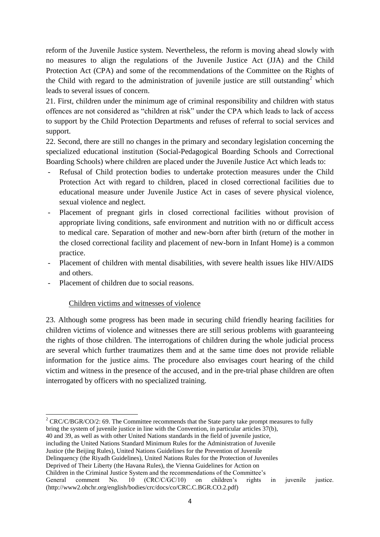reform of the Juvenile Justice system. Nevertheless, the reform is moving ahead slowly with no measures to align the regulations of the Juvenile Justice Act (JJA) and the Child Protection Act (CPA) and some of the recommendations of the Committee on the Rights of the Child with regard to the administration of juvenile justice are still outstanding<sup>2</sup> which leads to several issues of concern.

21. First, children under the minimum age of criminal responsibility and children with status offences are not considered as "children at risk" under the CPA which leads to lack of access to support by the Child Protection Departments and refuses of referral to social services and support.

22. Second, there are still no changes in the primary and secondary legislation concerning the specialized educational institution (Social-Pedagogical Boarding Schools and Correctional Boarding Schools) where children are placed under the Juvenile Justice Act which leads to:

- Refusal of Child protection bodies to undertake protection measures under the Child Protection Act with regard to children, placed in closed correctional facilities due to educational measure under Juvenile Justice Act in cases of severe physical violence, sexual violence and neglect.
- Placement of pregnant girls in closed correctional facilities without provision of appropriate living conditions, safe environment and nutrition with no or difficult access to medical care. Separation of mother and new-born after birth (return of the mother in the closed correctional facility and placement of new-born in Infant Home) is a common practice.
- Placement of children with mental disabilities, with severe health issues like HIV/AIDS and others.
- Placement of children due to social reasons.

**.** 

#### Children victims and witnesses of violence

23. Although some progress has been made in securing child friendly hearing facilities for children victims of violence and witnesses there are still serious problems with guaranteeing the rights of those children. The interrogations of children during the whole judicial process are several which further traumatizes them and at the same time does not provide reliable information for the justice aims. The procedure also envisages court hearing of the child victim and witness in the presence of the accused, and in the pre-trial phase children are often interrogated by officers with no specialized training.

<sup>2</sup> CRC/C/BGR/CO/2: 69. The Committee recommends that the State party take prompt measures to fully bring the system of juvenile justice in line with the Convention, in particular articles 37(b),

40 and 39, as well as with other United Nations standards in the field of juvenile justice, including the United Nations Standard Minimum Rules for the Administration of Juvenile

Justice (the Beijing Rules), United Nations Guidelines for the Prevention of Juvenile

Delinquency (the Riyadh Guidelines), United Nations Rules for the Protection of Juveniles

Deprived of Their Liberty (the Havana Rules), the Vienna Guidelines for Action on

Children in the Criminal Justice System and the recommendations of the Committee's

General comment No. 10 (CRC/C/GC/10) on children's rights in juvenile justice. (http://www2.ohchr.org/english/bodies/crc/docs/co/CRC.C.BGR.CO.2.pdf)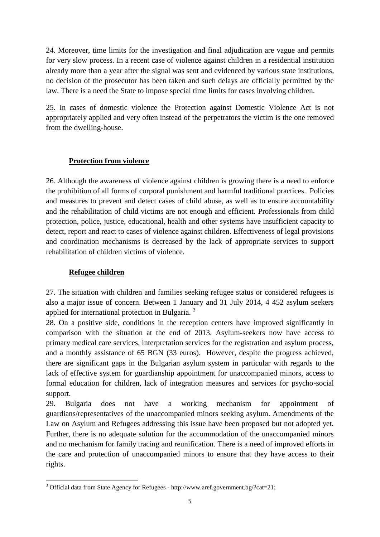24. Moreover, time limits for the investigation and final adjudication are vague and permits for very slow process. In a recent case of violence against children in a residential institution already more than a year after the signal was sent and evidenced by various state institutions, no decision of the prosecutor has been taken and such delays are officially permitted by the law. There is a need the State to impose special time limits for cases involving children.

25. In cases of domestic violence the Protection against Domestic Violence Act is not appropriately applied and very often instead of the perpetrators the victim is the one removed from the dwelling-house.

### **Protection from violence**

26. Although the awareness of violence against children is growing there is a need to enforce the prohibition of all forms of corporal punishment and harmful traditional practices. Policies and measures to prevent and detect cases of child abuse, as well as to ensure accountability and the rehabilitation of child victims are not enough and efficient. Professionals from child protection, police, justice, educational, health and other systems have insufficient capacity to detect, report and react to cases of violence against children. Effectiveness of legal provisions and coordination mechanisms is decreased by the lack of appropriate services to support rehabilitation of children victims of violence.

## **Refugee children**

27. The situation with children and families seeking refugee status or considered refugees is also a major issue of concern. Between 1 January and 31 July 2014, 4 452 asylum seekers applied for international protection in Bulgaria.<sup>3</sup>

28. On a positive side, conditions in the reception centers have improved significantly in comparison with the situation at the end of 2013. Asylum-seekers now have access to primary medical care services, interpretation services for the registration and asylum process, and a monthly assistance of 65 BGN (33 euros). However, despite the progress achieved, there are significant gaps in the Bulgarian asylum system in particular with regards to the lack of effective system for guardianship appointment for unaccompanied minors, access to formal education for children, lack of integration measures and services for psycho-social support.

29. Bulgaria does not have a working mechanism for appointment of guardians/representatives of the unaccompanied minors seeking asylum. Amendments of the Law on Asylum and Refugees addressing this issue have been proposed but not adopted yet. Further, there is no adequate solution for the accommodation of the unaccompanied minors and no mechanism for family tracing and reunification. There is a need of improved efforts in the care and protection of unaccompanied minors to ensure that they have access to their rights.

**<sup>.</sup>**  $3$  Official data from State Agency for Refugees - http://www.aref.government.bg/?cat=21;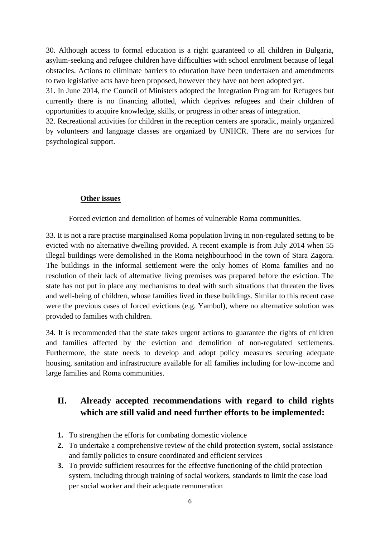30. Although access to formal education is a right guaranteed to all children in Bulgaria, asylum-seeking and refugee children have difficulties with school enrolment because of legal obstacles. Actions to eliminate barriers to education have been undertaken and amendments to two legislative acts have been proposed, however they have not been adopted yet.

31. In June 2014, the Council of Ministers adopted the Integration Program for Refugees but currently there is no financing allotted, which deprives refugees and their children of opportunities to acquire knowledge, skills, or progress in other areas of integration.

32. Recreational activities for children in the reception centers are sporadic, mainly organized by volunteers and language classes are organized by UNHCR. There are no services for psychological support.

#### **Other issues**

#### Forced eviction and demolition of homes of vulnerable Roma communities.

33. It is not a rare practise marginalised Roma population living in non-regulated setting to be evicted with no alternative dwelling provided. A recent example is from July 2014 when 55 illegal buildings were demolished in the Roma neighbourhood in the town of Stara Zagora. The buildings in the informal settlement were the only homes of Roma families and no resolution of their lack of alternative living premises was prepared before the eviction. The state has not put in place any mechanisms to deal with such situations that threaten the lives and well-being of children, whose families lived in these buildings. Similar to this recent case were the previous cases of forced evictions (e.g. Yambol), where no alternative solution was provided to families with children.

34. It is recommended that the state takes urgent actions to guarantee the rights of children and families affected by the eviction and demolition of non-regulated settlements. Furthermore, the state needs to develop and adopt policy measures securing adequate housing, sanitation and infrastructure available for all families including for low-income and large families and Roma communities.

# **II. Already accepted recommendations with regard to child rights which are still valid and need further efforts to be implemented:**

- **1.** To strengthen the efforts for combating domestic violence
- **2.** To undertake a comprehensive review of the child protection system, social assistance and family policies to ensure coordinated and efficient services
- **3.** To provide sufficient resources for the effective functioning of the child protection system, including through training of social workers, standards to limit the case load per social worker and their adequate remuneration